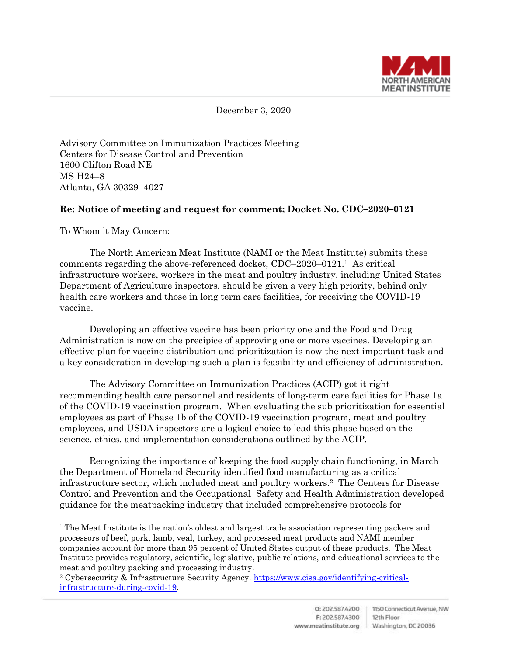

December 3, 2020

Advisory Committee on Immunization Practices Meeting Centers for Disease Control and Prevention 1600 Clifton Road NE MS H24–8 Atlanta, GA 30329–4027

## **Re: Notice of meeting and request for comment; Docket No. CDC–2020–0121**

To Whom it May Concern:

 $\overline{a}$ 

The North American Meat Institute (NAMI or the Meat Institute) submits these comments regarding the above-referenced docket, CDC–2020–0121. 1 As critical infrastructure workers, workers in the meat and poultry industry, including United States Department of Agriculture inspectors, should be given a very high priority, behind only health care workers and those in long term care facilities, for receiving the COVID-19 vaccine.

Developing an effective vaccine has been priority one and the Food and Drug Administration is now on the precipice of approving one or more vaccines. Developing an effective plan for vaccine distribution and prioritization is now the next important task and a key consideration in developing such a plan is feasibility and efficiency of administration.

The Advisory Committee on Immunization Practices (ACIP) got it right recommending health care personnel and residents of long-term care facilities for Phase 1a of the COVID-19 vaccination program. When evaluating the sub prioritization for essential employees as part of Phase 1b of the COVID-19 vaccination program, meat and poultry employees, and USDA inspectors are a logical choice to lead this phase based on the science, ethics, and implementation considerations outlined by the ACIP.

Recognizing the importance of keeping the food supply chain functioning, in March the Department of Homeland Security identified food manufacturing as a critical infrastructure sector, which included meat and poultry workers.<sup>2</sup> The Centers for Disease Control and Prevention and the Occupational Safety and Health Administration developed guidance for the meatpacking industry that included comprehensive protocols for

<sup>&</sup>lt;sup>1</sup> The Meat Institute is the nation's oldest and largest trade association representing packers and processors of beef, pork, lamb, veal, turkey, and processed meat products and NAMI member companies account for more than 95 percent of United States output of these products. The Meat Institute provides regulatory, scientific, legislative, public relations, and educational services to the meat and poultry packing and processing industry.

<sup>2</sup> Cybersecurity & Infrastructure Security Agency. [https://www.cisa.gov/identifying-critical](https://www.cisa.gov/identifying-critical-infrastructure-during-covid-19)[infrastructure-during-covid-19.](https://www.cisa.gov/identifying-critical-infrastructure-during-covid-19)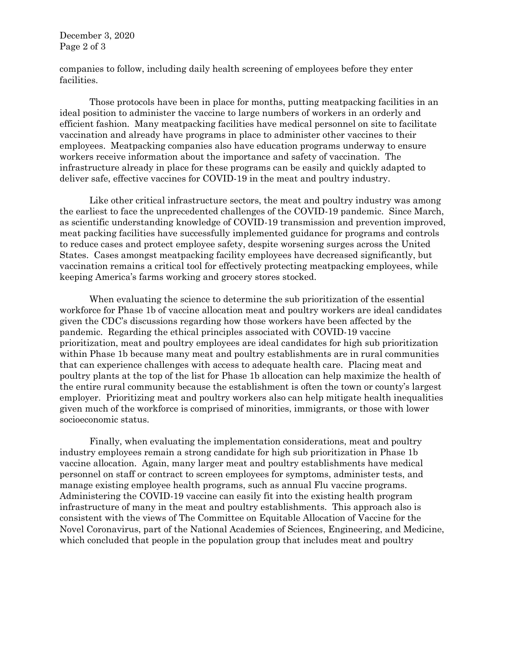December 3, 2020 Page 2 of 3

companies to follow, including daily health screening of employees before they enter facilities.

Those protocols have been in place for months, putting meatpacking facilities in an ideal position to administer the vaccine to large numbers of workers in an orderly and efficient fashion. Many meatpacking facilities have medical personnel on site to facilitate vaccination and already have programs in place to administer other vaccines to their employees. Meatpacking companies also have education programs underway to ensure workers receive information about the importance and safety of vaccination. The infrastructure already in place for these programs can be easily and quickly adapted to deliver safe, effective vaccines for COVID-19 in the meat and poultry industry.

Like other critical infrastructure sectors, the meat and poultry industry was among the earliest to face the unprecedented challenges of the COVID-19 pandemic. Since March, as scientific understanding knowledge of COVID-19 transmission and prevention improved, meat packing facilities have successfully implemented guidance for programs and controls to reduce cases and protect employee safety, despite worsening surges across the United States. Cases amongst meatpacking facility employees have decreased significantly, but vaccination remains a critical tool for effectively protecting meatpacking employees, while keeping America's farms working and grocery stores stocked.

When evaluating the science to determine the sub prioritization of the essential workforce for Phase 1b of vaccine allocation meat and poultry workers are ideal candidates given the CDC's discussions regarding how those workers have been affected by the pandemic. Regarding the ethical principles associated with COVID-19 vaccine prioritization, meat and poultry employees are ideal candidates for high sub prioritization within Phase 1b because many meat and poultry establishments are in rural communities that can experience challenges with access to adequate health care. Placing meat and poultry plants at the top of the list for Phase 1b allocation can help maximize the health of the entire rural community because the establishment is often the town or county's largest employer. Prioritizing meat and poultry workers also can help mitigate health inequalities given much of the workforce is comprised of minorities, immigrants, or those with lower socioeconomic status.

Finally, when evaluating the implementation considerations, meat and poultry industry employees remain a strong candidate for high sub prioritization in Phase 1b vaccine allocation. Again, many larger meat and poultry establishments have medical personnel on staff or contract to screen employees for symptoms, administer tests, and manage existing employee health programs, such as annual Flu vaccine programs. Administering the COVID-19 vaccine can easily fit into the existing health program infrastructure of many in the meat and poultry establishments. This approach also is consistent with the views of The Committee on Equitable Allocation of Vaccine for the Novel Coronavirus, part of the National Academies of Sciences, Engineering, and Medicine, which concluded that people in the population group that includes meat and poultry